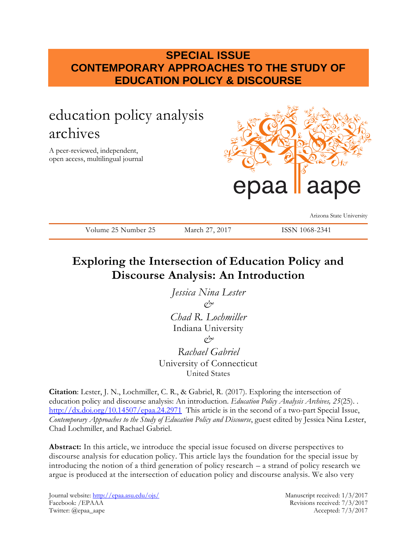## **SPECIAL ISSUE CONTEMPORARY APPROACHES TO THE STUDY OF EDUCATION POLICY & DISCOURSE**

# education policy analysis archives

A peer-reviewed, independent, open access, multilingual journal



Arizona State University

Volume 25 Number 25 March 27, 2017 ISSN 1068-2341

## **Exploring the Intersection of Education Policy and Discourse Analysis: An Introduction**

*Jessica Nina Lester & Chad R. Lochmiller* Indiana University  $\alpha^{\prime}$ *Rachael Gabriel* University of Connecticut United States

**Citation**: Lester, J. N., Lochmiller, C. R., & Gabriel, R. (2017). Exploring the intersection of education policy and discourse analysis: An introduction. *Education Policy Analysis Archives, 25*(25). . <http://dx.doi.org/10.14507/epaa.24.2971> This article is in the second of a two-part Special Issue, *Contemporary Approaches to the Study of Education Policy and Discourse*, guest edited by Jessica Nina Lester, Chad Lochmiller, and Rachael Gabriel.

**Abstract:** In this article, we introduce the special issue focused on diverse perspectives to discourse analysis for education policy. This article lays the foundation for the special issue by introducing the notion of a third generation of policy research – a strand of policy research we argue is produced at the intersection of education policy and discourse analysis. We also very

Journal website:<http://epaa.asu.edu/ojs/> Manuscript received: 1/3/2017 Facebook: /EPAAA Revisions received: 7/3/2017 Twitter: @epaa\_aape Accepted: 7/3/2017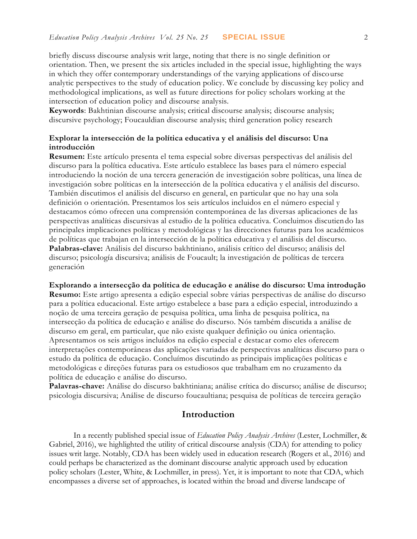briefly discuss discourse analysis writ large, noting that there is no single definition or orientation. Then, we present the six articles included in the special issue, highlighting the ways in which they offer contemporary understandings of the varying applications of discourse analytic perspectives to the study of education policy. We conclude by discussing key policy and methodological implications, as well as future directions for policy scholars working at the intersection of education policy and discourse analysis.

**Keywords**: Bakhtinian discourse analysis; critical discourse analysis; discourse analysis; discursive psychology; Foucauldian discourse analysis; third generation policy research

#### **Explorar la intersección de la política educativa y el análisis del discurso: Una introducción**

**Resumen:** Este artículo presenta el tema especial sobre diversas perspectivas del análisis del discurso para la política educativa. Este artículo establece las bases para el número especial introduciendo la noción de una tercera generación de investigación sobre políticas, una línea de investigación sobre políticas en la intersección de la política educativa y el análisis del discurso. También discutimos el análisis del discurso en general, en particular que no hay una sola definición o orientación. Presentamos los seis artículos incluidos en el número especial y destacamos cómo ofrecen una comprensión contemporánea de las diversas aplicaciones de las perspectivas analíticas discursivas al estudio de la política educativa. Concluimos discutiendo las principales implicaciones políticas y metodológicas y las direcciones futuras para los académicos de políticas que trabajan en la intersección de la política educativa y el análisis del discurso. **Palabras-clave:** Análisis del discurso bakhtiniano, análisis crítico del discurso; análisis del discurso; psicología discursiva; análisis de Foucault; la investigación de políticas de tercera generación

**Explorando a intersecção da política de educação e análise do discurso: Uma introdução Resumo:** Este artigo apresenta a edição especial sobre várias perspectivas de análise do discurso

para a política educacional. Este artigo estabelece a base para a edição especial, introduzindo a noção de uma terceira geração de pesquisa política, uma linha de pesquisa política, na intersecção da política de educação e análise do discurso. Nós também discutida a análise de discurso em geral, em particular, que não existe qualquer definição ou única orientação. Apresentamos os seis artigos incluídos na edição especial e destacar como eles oferecem interpretações contemporâneas das aplicações variadas de perspectivas analíticas discurso para o estudo da política de educação. Concluímos discutindo as principais implicações políticas e metodológicas e direções futuras para os estudiosos que trabalham em no cruzamento da política de educação e análise do discurso.

**Palavras-chave:** Análise do discurso bakhtiniana; análise crítica do discurso; análise de discurso; psicologia discursiva; Análise de discurso foucaultiana; pesquisa de políticas de terceira geração

### **Introduction**

In a recently published special issue of *Education Policy Analysis Archives* (Lester, Lochmiller, & Gabriel, 2016), we highlighted the utility of critical discourse analysis (CDA) for attending to policy issues writ large. Notably, CDA has been widely used in education research (Rogers et al., 2016) and could perhaps be characterized as the dominant discourse analytic approach used by education policy scholars (Lester, White, & Lochmiller, in press). Yet, it is important to note that CDA, which encompasses a diverse set of approaches, is located within the broad and diverse landscape of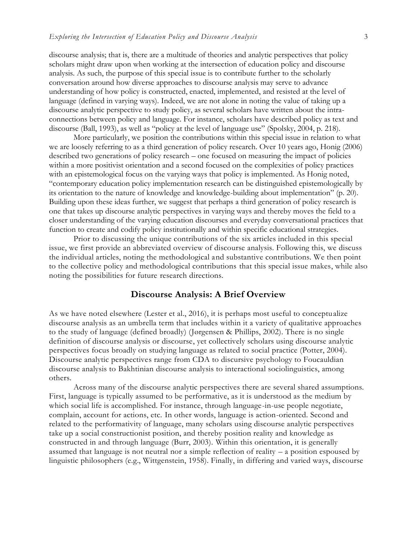discourse analysis; that is, there are a multitude of theories and analytic perspectives that policy scholars might draw upon when working at the intersection of education policy and discourse analysis. As such, the purpose of this special issue is to contribute further to the scholarly conversation around how diverse approaches to discourse analysis may serve to advance understanding of how policy is constructed, enacted, implemented, and resisted at the level of language (defined in varying ways). Indeed, we are not alone in noting the value of taking up a discourse analytic perspective to study policy, as several scholars have written about the intraconnections between policy and language. For instance, scholars have described policy as text and discourse (Ball, 1993), as well as "policy at the level of language use" (Spolsky, 2004, p. 218).

More particularly, we position the contributions within this special issue in relation to what we are loosely referring to as a third generation of policy research. Over 10 years ago, Honig (2006) described two generations of policy research – one focused on measuring the impact of policies within a more positivist orientation and a second focused on the complexities of policy practices with an epistemological focus on the varying ways that policy is implemented. As Honig noted, "contemporary education policy implementation research can be distinguished epistemologically by its orientation to the nature of knowledge and knowledge-building about implementation" (p. 20). Building upon these ideas further, we suggest that perhaps a third generation of policy research is one that takes up discourse analytic perspectives in varying ways and thereby moves the field to a closer understanding of the varying education discourses and everyday conversational practices that function to create and codify policy institutionally and within specific educational strategies.

Prior to discussing the unique contributions of the six articles included in this special issue, we first provide an abbreviated overview of discourse analysis. Following this, we discuss the individual articles, noting the methodological and substantive contributions. We then point to the collective policy and methodological contributions that this special issue makes, while also noting the possibilities for future research directions.

#### **Discourse Analysis: A Brief Overview**

As we have noted elsewhere (Lester et al., 2016), it is perhaps most useful to conceptualize discourse analysis as an umbrella term that includes within it a variety of qualitative approaches to the study of language (defined broadly) (Jørgensen & Phillips, 2002). There is no single definition of discourse analysis or discourse, yet collectively scholars using discourse analytic perspectives focus broadly on studying language as related to social practice (Potter, 2004). Discourse analytic perspectives range from CDA to discursive psychology to Foucauldian discourse analysis to Bakhtinian discourse analysis to interactional sociolinguistics, among others.

Across many of the discourse analytic perspectives there are several shared assumptions. First, language is typically assumed to be performative, as it is understood as the medium by which social life is accomplished. For instance, through language-in-use people negotiate, complain, account for actions, etc. In other words, language is action-oriented. Second and related to the performativity of language, many scholars using discourse analytic perspectives take up a social constructionist position, and thereby position reality and knowledge as constructed in and through language (Burr, 2003). Within this orientation, it is generally assumed that language is not neutral nor a simple reflection of reality – a position espoused by linguistic philosophers (e.g., Wittgenstein, 1958). Finally, in differing and varied ways, discourse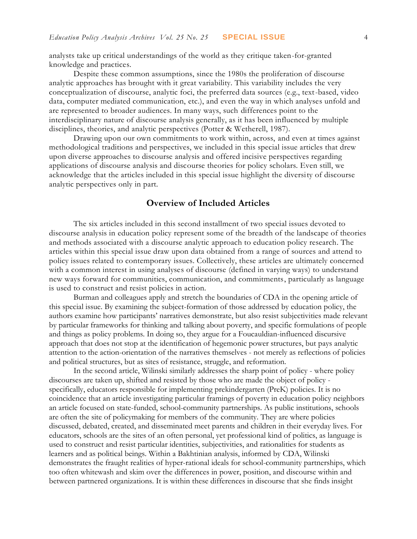analysts take up critical understandings of the world as they critique taken-for-granted knowledge and practices.

Despite these common assumptions, since the 1980s the proliferation of discourse analytic approaches has brought with it great variability. This variability includes the very conceptualization of discourse, analytic foci, the preferred data sources (e.g., text-based, video data, computer mediated communication, etc.), and even the way in which analyses unfold and are represented to broader audiences. In many ways, such differences point to the interdisciplinary nature of discourse analysis generally, as it has been influenced by multiple disciplines, theories, and analytic perspectives (Potter & Wetherell, 1987).

Drawing upon our own commitments to work within, across, and even at times against methodological traditions and perspectives, we included in this special issue articles that drew upon diverse approaches to discourse analysis and offered incisive perspectives regarding applications of discourse analysis and discourse theories for policy scholars. Even still, we acknowledge that the articles included in this special issue highlight the diversity of discourse analytic perspectives only in part.

#### **Overview of Included Articles**

The six articles included in this second installment of two special issues devoted to discourse analysis in education policy represent some of the breadth of the landscape of theories and methods associated with a discourse analytic approach to education policy research. The articles within this special issue draw upon data obtained from a range of sources and attend to policy issues related to contemporary issues. Collectively, these articles are ultimately concerned with a common interest in using analyses of discourse (defined in varying ways) to understand new ways forward for communities, communication, and commitments, particularly as language is used to construct and resist policies in action.

Burman and colleagues apply and stretch the boundaries of CDA in the opening article of this special issue. By examining the subject-formation of those addressed by education policy, the authors examine how participants' narratives demonstrate, but also resist subjectivities made relevant by particular frameworks for thinking and talking about poverty, and specific formulations of people and things as policy problems. In doing so, they argue for a Foucauldian-influenced discursive approach that does not stop at the identification of hegemonic power structures, but pays analytic attention to the action-orientation of the narratives themselves - not merely as reflections of policies and political structures, but as sites of resistance, struggle, and reformation.

In the second article, Wilinski similarly addresses the sharp point of policy - where policy discourses are taken up, shifted and resisted by those who are made the object of policy specifically, educators responsible for implementing prekindergarten (PreK) policies. It is no coincidence that an article investigating particular framings of poverty in education policy neighbors an article focused on state-funded, school-community partnerships. As public institutions, schools are often the site of policymaking for members of the community. They are where policies discussed, debated, created, and disseminated meet parents and children in their everyday lives. For educators, schools are the sites of an often personal, yet professional kind of politics, as language is used to construct and resist particular identities, subjectivities, and rationalities for students as learners and as political beings. Within a Bakhtinian analysis, informed by CDA, Wilinski demonstrates the fraught realities of hyper-rational ideals for school-community partnerships, which too often whitewash and skim over the differences in power, position, and discourse within and between partnered organizations. It is within these differences in discourse that she finds insight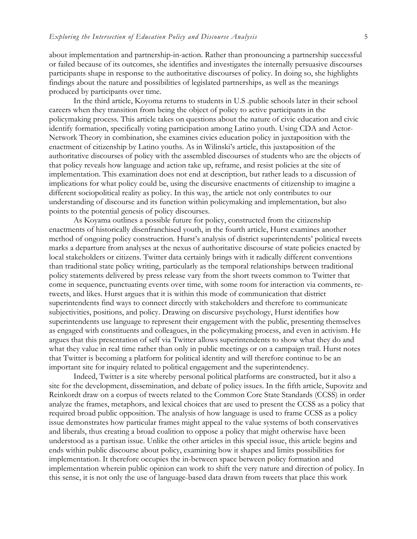about implementation and partnership-in-action. Rather than pronouncing a partnership successful or failed because of its outcomes, she identifies and investigates the internally persuasive discourses participants shape in response to the authoritative discourses of policy. In doing so, she highlights findings about the nature and possibilities of legislated partnerships, as well as the meanings produced by participants over time.

In the third article, Koyoma returns to students in U.S .public schools later in their school careers when they transition from being the object of policy to active participants in the policymaking process. This article takes on questions about the nature of civic education and civic identify formation, specifically voting participation among Latino youth. Using CDA and Actor-Network Theory in combination, she examines civics education policy in juxtaposition with the enactment of citizenship by Latino youths. As in Wilinski's article, this juxtaposition of the authoritative discourses of policy with the assembled discourses of students who are the objects of that policy reveals how language and action take up, reframe, and resist policies at the site of implementation. This examination does not end at description, but rather leads to a discussion of implications for what policy could be, using the discursive enactments of citizenship to imagine a different sociopolitical reality as policy. In this way, the article not only contributes to our understanding of discourse and its function within policymaking and implementation, but also points to the potential genesis of policy discourses.

As Koyama outlines a possible future for policy, constructed from the citizenship enactments of historically disenfranchised youth, in the fourth article, Hurst examines another method of ongoing policy construction. Hurst's analysis of district superintendents' political tweets marks a departure from analyses at the nexus of authoritative discourse of state policies enacted by local stakeholders or citizens. Twitter data certainly brings with it radically different conventions than traditional state policy writing, particularly as the temporal relationships between traditional policy statements delivered by press release vary from the short tweets common to Twitter that come in sequence, punctuating events over time, with some room for interaction via comments, retweets, and likes. Hurst argues that it is within this mode of communication that district superintendents find ways to connect directly with stakeholders and therefore to communicate subjectivities, positions, and policy. Drawing on discursive psychology, Hurst identifies how superintendents use language to represent their engagement with the public, presenting themselves as engaged with constituents and colleagues, in the policymaking process, and even in activism. He argues that this presentation of self via Twitter allows superintendents to show what they do and what they value in real time rather than only in public meetings or on a campaign trail. Hurst notes that Twitter is becoming a platform for political identity and will therefore continue to be an important site for inquiry related to political engagement and the superintendency.

Indeed, Twitter is a site whereby personal political platforms are constructed, but it also a site for the development, dissemination, and debate of policy issues. In the fifth article, Supovitz and Reinkordt draw on a corpus of tweets related to the Common Core State Standards (CCSS) in order analyze the frames, metaphors, and lexical choices that are used to present the CCSS as a policy that required broad public opposition. The analysis of how language is used to frame CCSS as a policy issue demonstrates how particular frames might appeal to the value systems of both conservatives and liberals, thus creating a broad coalition to oppose a policy that might otherwise have been understood as a partisan issue. Unlike the other articles in this special issue, this article begins and ends within public discourse about policy, examining how it shapes and limits possibilities for implementation. It therefore occupies the in-between space between policy formation and implementation wherein public opinion can work to shift the very nature and direction of policy. In this sense, it is not only the use of language-based data drawn from tweets that place this work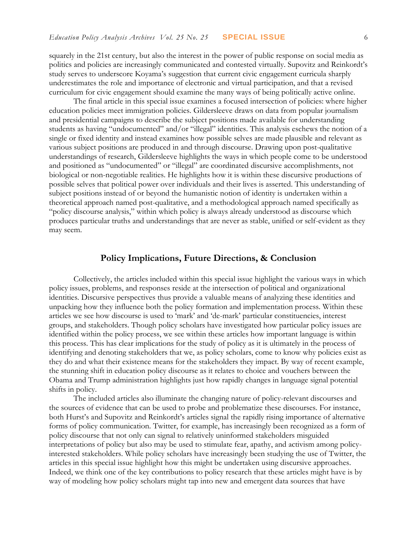squarely in the 21st century, but also the interest in the power of public response on social media as politics and policies are increasingly communicated and contested virtually. Supovitz and Reinkordt's study serves to underscore Koyama's suggestion that current civic engagement curricula sharply underestimates the role and importance of electronic and virtual participation, and that a revised curriculum for civic engagement should examine the many ways of being politically active online.

The final article in this special issue examines a focused intersection of policies: where higher education policies meet immigration policies. Gildersleeve draws on data from popular journalism and presidential campaigns to describe the subject positions made available for understanding students as having "undocumented" and/or "illegal" identities. This analysis eschews the notion of a single or fixed identity and instead examines how possible selves are made plausible and relevant as various subject positions are produced in and through discourse. Drawing upon post-qualitative understandings of research, Gildersleeve highlights the ways in which people come to be understood and positioned as "undocumented" or "illegal" are coordinated discursive accomplishments, not biological or non-negotiable realities. He highlights how it is within these discursive productions of possible selves that political power over individuals and their lives is asserted. This understanding of subject positions instead of or beyond the humanistic notion of identity is undertaken within a theoretical approach named post-qualitative, and a methodological approach named specifically as "policy discourse analysis," within which policy is always already understood as discourse which produces particular truths and understandings that are never as stable, unified or self-evident as they may seem.

## **Policy Implications, Future Directions, & Conclusion**

Collectively, the articles included within this special issue highlight the various ways in which policy issues, problems, and responses reside at the intersection of political and organizational identities. Discursive perspectives thus provide a valuable means of analyzing these identities and unpacking how they influence both the policy formation and implementation process. Within these articles we see how discourse is used to 'mark' and 'de-mark' particular constituencies, interest groups, and stakeholders. Though policy scholars have investigated how particular policy issues are identified within the policy process, we see within these articles how important language is within this process. This has clear implications for the study of policy as it is ultimately in the process of identifying and denoting stakeholders that we, as policy scholars, come to know why policies exist as they do and what their existence means for the stakeholders they impact. By way of recent example, the stunning shift in education policy discourse as it relates to choice and vouchers between the Obama and Trump administration highlights just how rapidly changes in language signal potential shifts in policy.

The included articles also illuminate the changing nature of policy-relevant discourses and the sources of evidence that can be used to probe and problematize these discourses. For instance, both Hurst's and Supovitz and Reinkordt's articles signal the rapidly rising importance of alternative forms of policy communication. Twitter, for example, has increasingly been recognized as a form of policy discourse that not only can signal to relatively uninformed stakeholders misguided interpretations of policy but also may be used to stimulate fear, apathy, and activism among policyinterested stakeholders. While policy scholars have increasingly been studying the use of Twitter, the articles in this special issue highlight how this might be undertaken using discursive approaches. Indeed, we think one of the key contributions to policy research that these articles might have is by way of modeling how policy scholars might tap into new and emergent data sources that have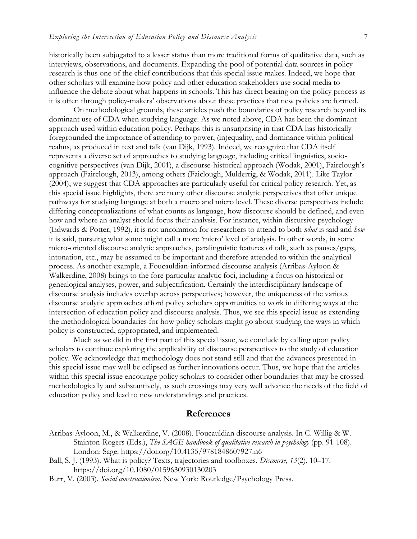historically been subjugated to a lesser status than more traditional forms of qualitative data, such as interviews, observations, and documents. Expanding the pool of potential data sources in policy research is thus one of the chief contributions that this special issue makes. Indeed, we hope that other scholars will examine how policy and other education stakeholders use social media to influence the debate about what happens in schools. This has direct bearing on the policy process as it is often through policy-makers' observations about these practices that new policies are formed.

On methodological grounds, these articles push the boundaries of policy research beyond its dominant use of CDA when studying language. As we noted above, CDA has been the dominant approach used within education policy. Perhaps this is unsurprising in that CDA has historically foregrounded the importance of attending to power, (in)equality, and dominance within political realms, as produced in text and talk (van Dijk, 1993). Indeed, we recognize that CDA itself represents a diverse set of approaches to studying language, including critical linguistics, sociocognitive perspectives (van Dijk, 2001), a discourse-historical approach (Wodak, 2001), Fairclough's approach (Fairclough, 2013), among others (Faiclough, Mulderrig, & Wodak, 2011). Like Taylor (2004), we suggest that CDA approaches are particularly useful for critical policy research. Yet, as this special issue highlights, there are many other discourse analytic perspectives that offer unique pathways for studying language at both a macro and micro level. These diverse perspectives include differing conceptualizations of what counts as language, how discourse should be defined, and even how and where an analyst should focus their analysis. For instance, within discursive psychology (Edwards & Potter, 1992), it is not uncommon for researchers to attend to both *what* is said and *how*  it is said, pursuing what some might call a more 'micro' level of analysis. In other words, in some micro-oriented discourse analytic approaches, paralinguistic features of talk, such as pauses/gaps, intonation, etc., may be assumed to be important and therefore attended to within the analytical process. As another example, a Foucauldian-informed discourse analysis (Arribas-Ayloon & Walkerdine, 2008) brings to the fore particular analytic foci, including a focus on historical or genealogical analyses, power, and subjectification. Certainly the interdisciplinary landscape of discourse analysis includes overlap across perspectives; however, the uniqueness of the various discourse analytic approaches afford policy scholars opportunities to work in differing ways at the intersection of education policy and discourse analysis. Thus, we see this special issue as extending the methodological boundaries for how policy scholars might go about studying the ways in which policy is constructed, appropriated, and implemented.

Much as we did in the first part of this special issue, we conclude by calling upon policy scholars to continue exploring the applicability of discourse perspectives to the study of education policy. We acknowledge that methodology does not stand still and that the advances presented in this special issue may well be eclipsed as further innovations occur. Thus, we hope that the articles within this special issue encourage policy scholars to consider other boundaries that may be crossed methodologically and substantively, as such crossings may very well advance the needs of the field of education policy and lead to new understandings and practices.

#### **References**

- Arribas-Ayloon, M., & Walkerdine, V. (2008). Foucauldian discourse analysis. In C. Willig & W. Stainton-Rogers (Eds.), *The SAGE handbook of qualitative research in psychology* (pp. 91-108). London: Sage.<https://doi.org/10.4135/9781848607927.n6>
- Ball, S. J. (1993). What is policy? Texts, trajectories and toolboxes. *Discourse*, *13*(2), 10–17. <https://doi.org/10.1080/0159630930130203>
- Burr, V. (2003). *Social constructionism*. New York: Routledge/Psychology Press.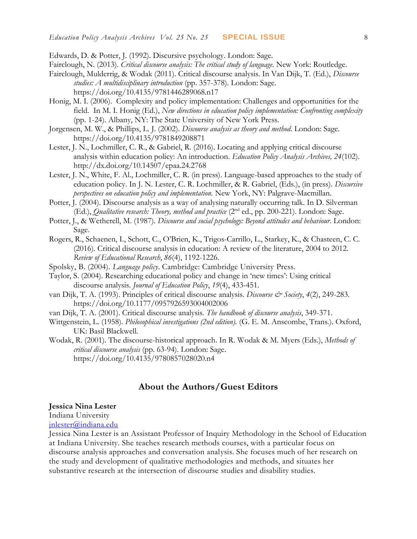Edwards, D. & Potter, J. (1992). Discursive psychology. London: Sage.

Fairclough, N. (2013). *Critical discourse analysis: The critical study of language*. New York: Routledge.

- Fairclough, Mulderrig, & Wodak (2011). Critical discourse analysis. In Van Dijk, T. (Ed.), *Discourse studies: A multidisciplinary introduction* (pp. 357-378). London: Sage. <https://doi.org/10.4135/9781446289068.n17>
- Honig, M. I. (2006). Complexity and policy implementation: Challenges and opportunities for the field. In M. I. Honig (Ed.), *New directions in education policy implementation: Confronting complexity*  (pp. 1-24). Albany, NY: The State University of New York Press.
- Jorgensen, M. W., & Phillips, L. J. (2002). *Discourse analysis as theory and method*. London: Sage. <https://doi.org/10.4135/9781849208871>
- Lester, J. N., Lochmiller, C. R., & Gabriel, R. (2016). Locating and applying critical discourse analysis within education policy: An introduction. *Education Policy Analysis Archives, 24*(102). <http://dx.doi.org/10.14507/epaa.24.2768>
- Lester, J. N., White, F. Al., Lochmiller, C. R. (in press). Language-based approaches to the study of education policy. In J. N. Lester, C. R. Lochmiller, & R. Gabriel, (Eds.), (in press). *Discursive perspectives on education policy and implementation.* New York, NY: Palgrave-Macmillan.
- Potter, J. (2004). Discourse analysis as a way of analysing naturally occurring talk. In D. Silverman (Ed.), *Qualitative research: Theory, method and practice*  $(2<sup>nd</sup>$  ed., pp. 200-221). London: Sage.
- Potter, J., & Wetherell, M. (1987). *Discourse and social psychology: Beyond attitudes and behaviour*. London: Sage.
- Rogers, R., Schaenen, I., Schott, C., O'Brien, K., Trigos-Carrillo, L., Starkey, K., & Chasteen, C. C. (2016). Critical discourse analysis in education: A review of the literature, 2004 to 2012. *Review of Educational Research*, *86*(4), 1192-1226.
- Spolsky, B. (2004). *Language policy*. Cambridge: Cambridge University Press.
- Taylor, S. (2004). Researching educational policy and change in 'new times': Using critical discourse analysis. *Journal of Education Policy*, *19*(4), 433-451.
- van Dijk, T. A. (1993). Principles of critical discourse analysis. *Discourse & Society*, 4(2), 249-283. <https://doi.org/10.1177/0957926593004002006>
- van Dijk, T. A. (2001). Critical discourse analysis. *The handbook of discourse analysis*, 349-371.
- Wittgenstein, L. (1958). *Philosophical investigations (2nd edition).* (G. E. M. Anscombe, Trans.). Oxford, UK: Basil Blackwell.
- Wodak, R. (2001). The discourse-historical approach. In R. Wodak & M. Myers (Eds.), *Methods of critical discourse analysis* (pp. 63-94). London: Sage. <https://doi.org/10.4135/9780857028020.n4>

## **About the Authors/Guest Editors**

#### **Jessica Nina Lester**

Indiana University [jnlester@indiana.edu](mailto:clochmil@indiana.edu)

Jessica Nina Lester is an Assistant Professor of Inquiry Methodology in the School of Education at Indiana University. She teaches research methods courses, with a particular focus on discourse analysis approaches and conversation analysis. She focuses much of her research on the study and development of qualitative methodologies and methods, and situates her substantive research at the intersection of discourse studies and disability studies.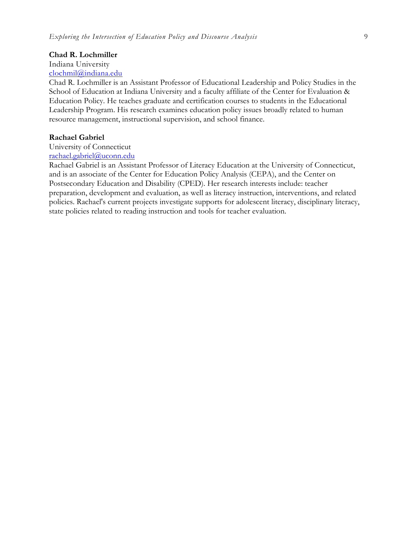#### **Chad R. Lochmiller**

### Indiana University

### [clochmil@indiana.edu](mailto:clochmil@indiana.edu)

Chad R. Lochmiller is an Assistant Professor of Educational Leadership and Policy Studies in the School of Education at Indiana University and a faculty affiliate of the Center for Evaluation & Education Policy. He teaches graduate and certification courses to students in the Educational Leadership Program. His research examines education policy issues broadly related to human resource management, instructional supervision, and school finance.

#### **Rachael Gabriel**

University of Connecticut [rachael.gabriel@uconn.edu](mailto:rachael.gabriel@uconn.edu)

Rachael Gabriel is an Assistant Professor of Literacy Education at the University of Connecticut, and is an associate of the Center for Education Policy Analysis (CEPA), and the Center on Postsecondary Education and Disability (CPED). Her research interests include: teacher preparation, development and evaluation, as well as literacy instruction, interventions, and related policies. Rachael's current projects investigate supports for adolescent literacy, disciplinary literacy, state policies related to reading instruction and tools for teacher evaluation.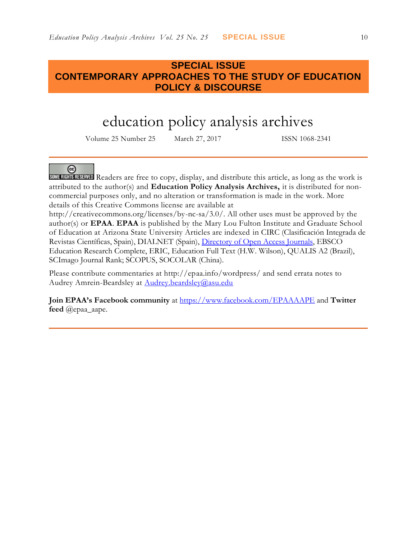## **SPECIAL ISSUE CONTEMPORARY APPROACHES TO THE STUDY OF EDUCATION POLICY & DISCOURSE**

## education policy analysis archives

Volume 25 Number 25 March 27, 2017 ISSN 1068-2341

#### @

SOME RIGHTS RESERVED Readers are free to copy, display, and distribute this article, as long as the work is attributed to the author(s) and **Education Policy Analysis Archives,** it is distributed for noncommercial purposes only, and no alteration or transformation is made in the work. More details of this Creative Commons license are available at

http://creativecommons.org/licenses/by-nc-sa/3.0/. All other uses must be approved by the author(s) or **EPAA**. **EPAA** is published by the Mary Lou Fulton Institute and Graduate School of Education at Arizona State University Articles are indexed in CIRC (Clasificación Integrada de Revistas Científicas, Spain), DIALNET (Spain), [Directory of Open Access Journals,](http://www.doaj.org/) EBSCO Education Research Complete, ERIC, Education Full Text (H.W. Wilson), QUALIS A2 (Brazil), SCImago Journal Rank; SCOPUS, SOCOLAR (China).

Please contribute commentaries at http://epaa.info/wordpress/ and send errata notes to Audrey Amrein-Beardsley at [Audrey.beardsley@asu.edu](mailto:Audrey.beardsley@asu.edu)

**Join EPAA's Facebook community** at<https://www.facebook.com/EPAAAAPE> and **Twitter feed** @epaa\_aape.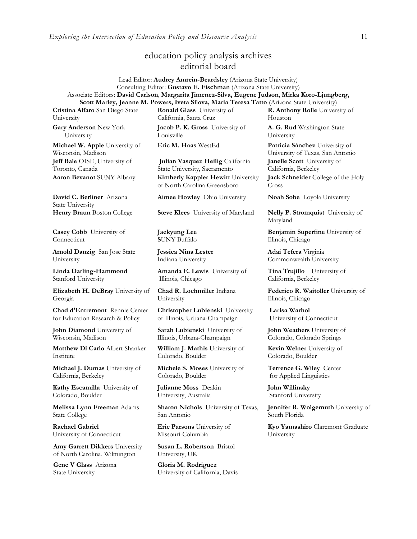## education policy analysis archives editorial board

Lead Editor: **Audrey Amrein-Beardsley** (Arizona State University) Consulting Editor: **Gustavo E. Fischman** (Arizona State University) Associate Editors: **David Carlson**, **Margarita Jimenez-Silva, Eugene Judson**, **Mirka Koro-Ljungberg, Scott Marley, Jeanne M. Powers, Iveta Silova, Maria Teresa Tatto** (Arizona State University)

**Cristina Alfaro** San Diego State University

**Gary Anderson** New York University

**Michael W. Apple** University of Wisconsin, Madison **Jeff Bale** OISE, University of Toronto, Canada

**David C. Berliner** Arizona State University

**Casey Cobb** University of **Connecticut** 

**Arnold Danzig** San Jose State University

**Linda Darling-Hammond**  Stanford University

**Elizabeth H. DeBray** University of Georgia

**Chad d'Entremont** Rennie Center for Education Research & Policy

**John Diamond** University of Wisconsin, Madison

**Matthew Di Carlo** Albert Shanker Institute

**Michael J. Dumas** University of California, Berkeley

**Kathy Escamilla** University of Colorado, Boulder

**Melissa Lynn Freeman** Adams State College

**Rachael Gabriel** University of Connecticut

**Amy Garrett Dikkers** University of North Carolina, Wilmington

**Gene V Glass** Arizona State University

**Ronald Glass** University of California, Santa Cruz

**Jacob P. K. Gross** University of Louisville

**Julian Vasquez Heilig** California State University, Sacramento **Aaron Bevanot** SUNY Albany **Kimberly Kappler Hewitt** University of North Carolina Greensboro

**Aimee Howley** Ohio University **Noah Sobe** Loyola University

**Henry Braun** Boston College **Steve Klees** University of Maryland **Nelly P. Stromquist** University of

**Jaekyung Lee S**UNY Buffalo

**Jessica Nina Lester** Indiana University

**Amanda E. Lewis** University of Illinois, Chicago

**Chad R. Lochmiller** Indiana University

**Christopher Lubienski** University of Illinois, Urbana-Champaign

**Sarah Lubienski** University of Illinois, Urbana-Champaign

**William J. Mathis** University of Colorado, Boulder

**Michele S. Moses** University of Colorado, Boulder

**Julianne Moss** Deakin University, Australia

**Sharon Nichols** University of Texas, San Antonio

**Eric Parsons** University of Missouri-Columbia

**Susan L. Robertson** Bristol University, UK

**Gloria M. Rodriguez** University of California, Davis

**R. Anthony Rolle** University of Houston

**A. G. Rud** Washington State University

**Eric M. Haas** WestEd **Patricia Sánchez** University of University of Texas, San Antonio **Janelle Scott** University of California, Berkeley

**Jack Schneider** College of the Holy Cross

Maryland

**Benjamin Superfine** University of Illinois, Chicago

**Adai Tefera** Virginia Commonwealth University

**Tina Trujillo** University of California, Berkeley

**Federico R. Waitoller** University of Illinois, Chicago

**Larisa Warhol** University of Connecticut

**John Weathers** University of Colorado, Colorado Springs

**Kevin Welner** University of Colorado, Boulder

**Terrence G. Wiley** Center for Applied Linguistics

**John Willinsky**  Stanford University

**Jennifer R. Wolgemuth** University of South Florida

**Kyo Yamashiro** Claremont Graduate University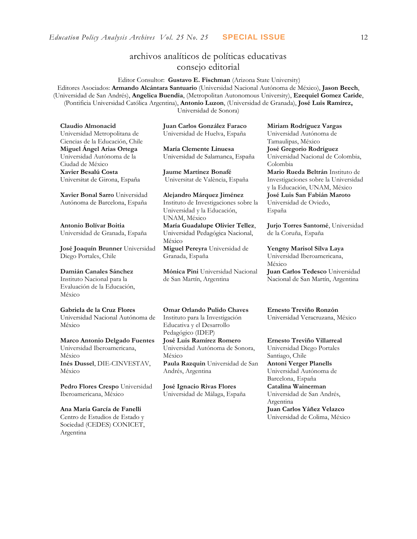## archivos analíticos de políticas educativas consejo editorial

Editor Consultor: **Gustavo E. Fischman** (Arizona State University) Editores Asociados: **Armando Alcántara Santuario** (Universidad Nacional Autónoma de México), **Jason Beech**, (Universidad de San Andrés), **Angelica Buendia**, (Metropolitan Autonomous University), **Ezequiel Gomez Caride**, (Pontificia Universidad Católica Argentina), **Antonio Luzon**, (Universidad de Granada), **José Luis Ramírez,** Universidad de Sonora)

**Claudio Almonacid** Universidad Metropolitana de Ciencias de la Educación, Chile **Miguel Ángel Arias Ortega**  Universidad Autónoma de la Ciudad de México **Xavier Besalú Costa**  Universitat de Girona, España

**[Xavier Bonal](javascript:openRTWindow() Sarro** Universidad Autónoma de Barcelona, España

**[Antonio Bolívar](javascript:openRTWindow() Boitia** Universidad de Granada, España

**[José Joaquín Brunner](javascript:openRTWindow()** Universidad Diego Portales, Chile

#### **[Damián Canales Sánchez](javascript:openRTWindow()** Instituto Nacional para la Evaluación de la Educación,

México

**Gabriela de la Cruz Flores**

Universidad Nacional Autónoma de México

#### **[Marco Antonio Delgado Fuentes](javascript:openRTWindow()** Universidad Iberoamericana, México **[Inés Dussel](javascript:openRTWindow()**, DIE-CINVESTAV, México

**[Pedro Flores Crespo](javascript:openRTWindow()** Universidad Iberoamericana, México

#### **Ana María García de Fanelli**  Centro de Estudios de Estado y Sociedad (CEDES) CONICET, Argentina

**Juan Carlos González Faraco**  Universidad de Huelva, España

**María Clemente Linuesa**  Universidad de Salamanca, España

**Jaume Martínez Bonafé** Universitat de València, España

**Alejandro Márquez Jiménez**  Instituto de Investigaciones sobre la Universidad y la Educación, UNAM, México **María Guadalupe Olivier Tellez**, Universidad Pedagógica Nacional, México **[Miguel Pereyra](javascript:openRTWindow()** Universidad de Granada, España

**[Mónica Pini](javascript:openRTWindow()** Universidad Nacional de San Martín, Argentina

**Omar Orlando Pulido Chaves** Instituto para la Investigación Educativa y el Desarrollo Pedagógico (IDEP)

**[José Luis Ramírez](javascript:openRTWindow() Romero** Universidad Autónoma de Sonora, México

**[Paula Razquin](javascript:openRTWindow()** Universidad de San Andrés, Argentina

**José Ignacio Rivas Flores** Universidad de Málaga, España **[Miriam Rodríguez Vargas](javascript:openRTWindow()** Universidad Autónoma de Tamaulipas, México **José Gregorio Rodríguez**  Universidad Nacional de Colombia, Colombia **[Mario Rueda Beltrán](javascript:openRTWindow()** Instituto de Investigaciones sobre la Universidad

y la Educación, UNAM, México **José Luis San Fabián Maroto**  Universidad de Oviedo, España

**[Jurjo Torres Santomé](javascript:openRTWindow()**, Universidad de la Coruña, España

**[Yengny Marisol Silva Laya](javascript:openRTWindow()** Universidad Iberoamericana, México **Juan Carlos Tedesco** Universidad Nacional de San Martín, Argentina

**Ernesto Treviño Ronzón** Universidad Veracruzana, México

**[Ernesto Treviño](javascript:openRTWindow() Villarreal** Universidad Diego Portales Santiago, Chile **[Antoni Verger Planells](javascript:openRTWindow()** Universidad Autónoma de Barcelona, España **[Catalina Wainerman](javascript:openRTWindow()** Universidad de San Andrés, Argentina **Juan Carlos Yáñez Velazco** Universidad de Colima, México